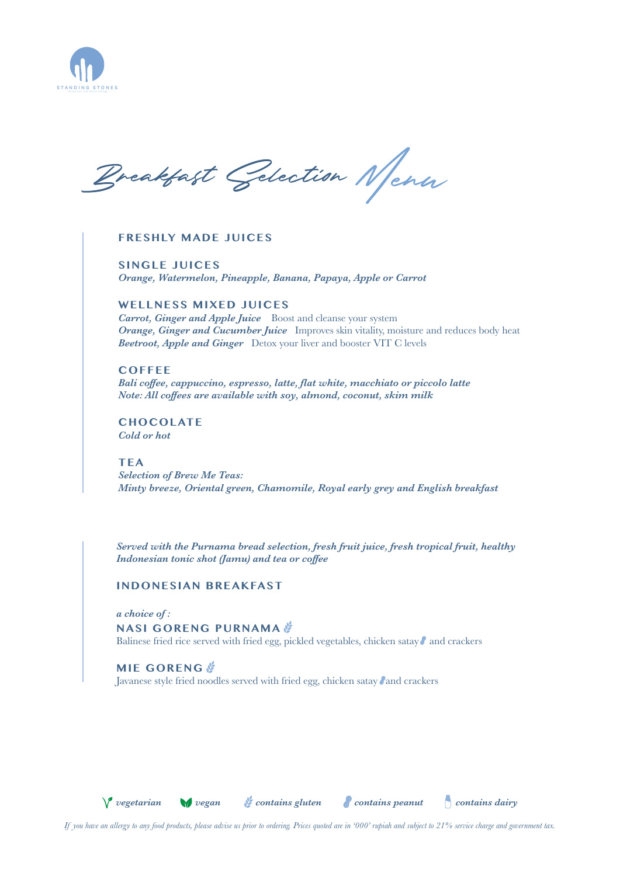

Breakfast Gelection New

## **FRESHLY MADE JUICES**

**SINGLE JUICES** *Orange, Watermelon, Pineapple, Banana, Papaya, Apple or Carrot*

## **WELLNESS MIXED JUICES**

*Carrot, Ginger and Apple Juice* Boost and cleanse your system *Orange, Ginger and Cucumber Juice* Improves skin vitality, moisture and reduces body heat *Beetroot, Apple and Ginger* Detox your liver and booster VIT C levels

# **COFFEE**

*Bali coffee, cappuccino, espresso, latte, flat white, macchiato or piccolo latte Note: All coffees are available with soy, almond, coconut, skim milk*

**CHOCOLATE** *Cold or hot* 

## **TEA**

*Selection of Brew Me Teas: Minty breeze, Oriental green, Chamomile, Royal early grey and English breakfast*

*Served with the Purnama bread selection, fresh fruit juice, fresh tropical fruit, healthy Indonesian tonic shot (Jamu) and tea or coffee*

# **INDONESIAN BREAKFAST**

*a choice of :* 

#### **NASI GORENG PURNAMA**

Balinese fried rice served with fried egg, pickled vegetables, chicken satay  $\ell$  and crackers

#### **MIE GORENG**

Javanese style fried noodles served with fried egg, chicken satay and crackers



*vegetarian vegan contains gluten contains peanut contains dairy*